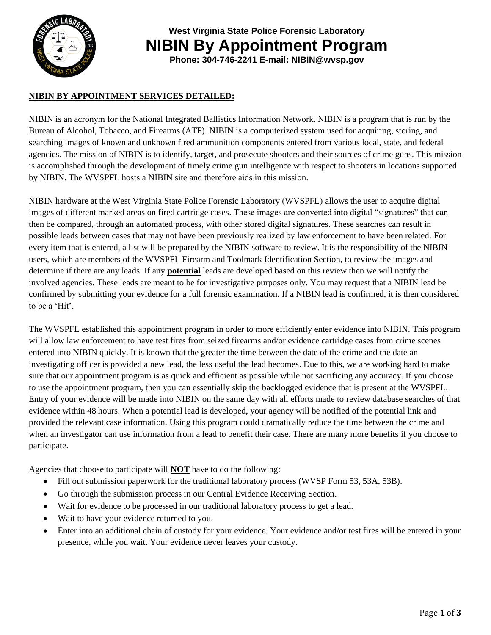

**West Virginia State Police Forensic Laboratory NIBIN By Appointment Program**

### **Phone: 304-746-2241 E-mail: NIBIN@wvsp.gov**

#### **NIBIN BY APPOINTMENT SERVICES DETAILED:**

NIBIN is an acronym for the National Integrated Ballistics Information Network. NIBIN is a program that is run by the Bureau of Alcohol, Tobacco, and Firearms (ATF). NIBIN is a computerized system used for acquiring, storing, and searching images of known and unknown fired ammunition components entered from various local, state, and federal agencies. The mission of NIBIN is to identify, target, and prosecute shooters and their sources of crime guns. This mission is accomplished through the development of timely crime gun intelligence with respect to shooters in locations supported by NIBIN. The WVSPFL hosts a NIBIN site and therefore aids in this mission.

NIBIN hardware at the West Virginia State Police Forensic Laboratory (WVSPFL) allows the user to acquire digital images of different marked areas on fired cartridge cases. These images are converted into digital "signatures" that can then be compared, through an automated process, with other stored digital signatures. These searches can result in possible leads between cases that may not have been previously realized by law enforcement to have been related. For every item that is entered, a list will be prepared by the NIBIN software to review. It is the responsibility of the NIBIN users, which are members of the WVSPFL Firearm and Toolmark Identification Section, to review the images and determine if there are any leads. If any **potential** leads are developed based on this review then we will notify the involved agencies. These leads are meant to be for investigative purposes only. You may request that a NIBIN lead be confirmed by submitting your evidence for a full forensic examination. If a NIBIN lead is confirmed, it is then considered to be a 'Hit'.

The WVSPFL established this appointment program in order to more efficiently enter evidence into NIBIN. This program will allow law enforcement to have test fires from seized firearms and/or evidence cartridge cases from crime scenes entered into NIBIN quickly. It is known that the greater the time between the date of the crime and the date an investigating officer is provided a new lead, the less useful the lead becomes. Due to this, we are working hard to make sure that our appointment program is as quick and efficient as possible while not sacrificing any accuracy. If you choose to use the appointment program, then you can essentially skip the backlogged evidence that is present at the WVSPFL. Entry of your evidence will be made into NIBIN on the same day with all efforts made to review database searches of that evidence within 48 hours. When a potential lead is developed, your agency will be notified of the potential link and provided the relevant case information. Using this program could dramatically reduce the time between the crime and when an investigator can use information from a lead to benefit their case. There are many more benefits if you choose to participate.

Agencies that choose to participate will **NOT** have to do the following:

- Fill out submission paperwork for the traditional laboratory process (WVSP Form 53, 53A, 53B).
- Go through the submission process in our Central Evidence Receiving Section.
- Wait for evidence to be processed in our traditional laboratory process to get a lead.
- Wait to have your evidence returned to you.
- Enter into an additional chain of custody for your evidence. Your evidence and/or test fires will be entered in your presence, while you wait. Your evidence never leaves your custody.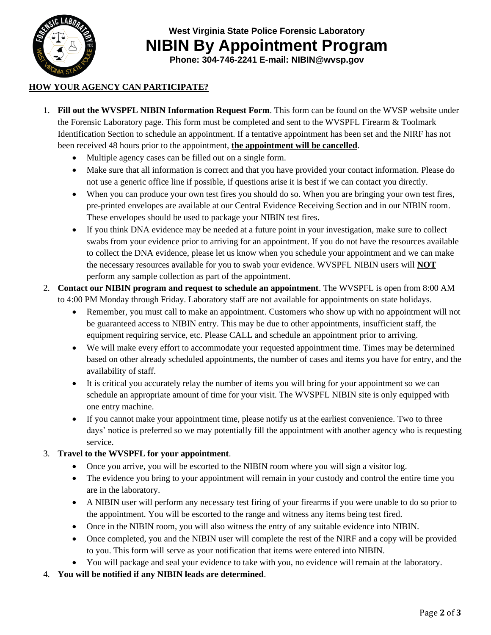

**West Virginia State Police Forensic Laboratory NIBIN By Appointment Program**

**Phone: 304-746-2241 E-mail: NIBIN@wvsp.gov**

# **HOW YOUR AGENCY CAN PARTICIPATE?**

- 1. **Fill out the WVSPFL NIBIN Information Request Form**. This form can be found on the WVSP website under the Forensic Laboratory page. This form must be completed and sent to the WVSPFL Firearm & Toolmark Identification Section to schedule an appointment. If a tentative appointment has been set and the NIRF has not been received 48 hours prior to the appointment, **the appointment will be cancelled**.
	- Multiple agency cases can be filled out on a single form.
	- Make sure that all information is correct and that you have provided your contact information. Please do not use a generic office line if possible, if questions arise it is best if we can contact you directly.
	- When you can produce your own test fires you should do so. When you are bringing your own test fires, pre-printed envelopes are available at our Central Evidence Receiving Section and in our NIBIN room. These envelopes should be used to package your NIBIN test fires.
	- If you think DNA evidence may be needed at a future point in your investigation, make sure to collect swabs from your evidence prior to arriving for an appointment. If you do not have the resources available to collect the DNA evidence, please let us know when you schedule your appointment and we can make the necessary resources available for you to swab your evidence. WVSPFL NIBIN users will **NOT** perform any sample collection as part of the appointment.
- 2. **Contact our NIBIN program and request to schedule an appointment**. The WVSPFL is open from 8:00 AM to 4:00 PM Monday through Friday. Laboratory staff are not available for appointments on state holidays.
	- Remember, you must call to make an appointment. Customers who show up with no appointment will not be guaranteed access to NIBIN entry. This may be due to other appointments, insufficient staff, the equipment requiring service, etc. Please CALL and schedule an appointment prior to arriving.
	- We will make every effort to accommodate your requested appointment time. Times may be determined based on other already scheduled appointments, the number of cases and items you have for entry, and the availability of staff.
	- It is critical you accurately relay the number of items you will bring for your appointment so we can schedule an appropriate amount of time for your visit. The WVSPFL NIBIN site is only equipped with one entry machine.
	- If you cannot make your appointment time, please notify us at the earliest convenience. Two to three days' notice is preferred so we may potentially fill the appointment with another agency who is requesting service.

### 3. **Travel to the WVSPFL for your appointment**.

- Once you arrive, you will be escorted to the NIBIN room where you will sign a visitor log.
- The evidence you bring to your appointment will remain in your custody and control the entire time you are in the laboratory.
- A NIBIN user will perform any necessary test firing of your firearms if you were unable to do so prior to the appointment. You will be escorted to the range and witness any items being test fired.
- Once in the NIBIN room, you will also witness the entry of any suitable evidence into NIBIN.
- Once completed, you and the NIBIN user will complete the rest of the NIRF and a copy will be provided to you. This form will serve as your notification that items were entered into NIBIN.
- You will package and seal your evidence to take with you, no evidence will remain at the laboratory.
- 4. **You will be notified if any NIBIN leads are determined**.